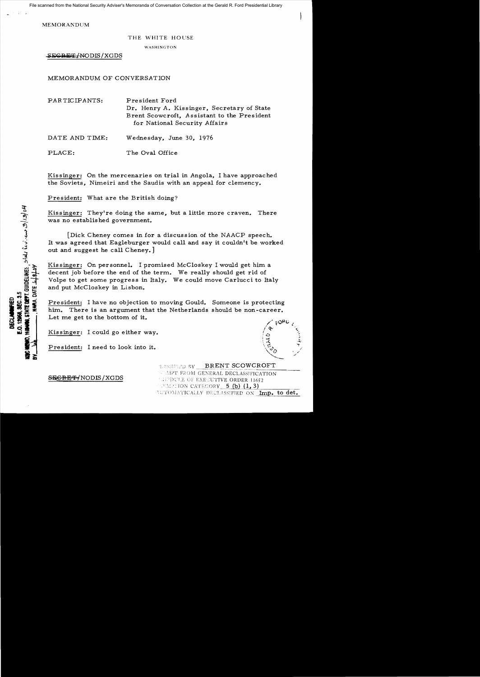File scanned from the National Security Adviser's Memoranda of Conversation Collection at the Gerald R. Ford Presidential Library

MEMORANDUM

## THE WHITE HOUSE

WASHINGTON

SEGRET/NODIS/XGDS

MEMORANDUM OF CONVERSATION

PARTICIPANTS: Pre sident Ford Dr. Henry A. Kissinger, Secretary of State Brent Scowcroft, Assistant to the President for National Security Affairs

DATE AND TIME: Wednesday, June 30, 1976

PLACE: The Oval Office

Kissinger: On the mercenaries on trial in Angola, I have approached the Soviets, Nimeiri and the Saudis with an appeal for clemency.

President: What are the British doing?

Kissinger: They're doing the same, but a little more craven. There was no established government.

[Dick Cheney comes in for a discussion of the NAACP speech. It was agreed that Eagleburger would call and say it couldn't be worked out and suggest he call Cheney.]

Kissinger: On personnel. I promised McCloskey I would get him a decent job before the end of the term. We really should get rid of Volpe to get some progress in Italy. We could move Carlucci to Italy and put McCloskey in Lisbon.

President: I have no objection to moving Gould. Someone is protecting him. There is an argument that the Netherlands should be non-career. Let me get to the bottom of it.

LASSINED BY

WAIPT FROM GENERAL DECLASSIFICATION

WITOMATICALLY DECLASSIFIED ON Imp. to det.

BRENT SCOWCROFT

r, indicated  $\alpha$  of  $\alpha$  and  $\alpha$  is  $\alpha$  . The  $\alpha$  is  $\alpha$  is  $\alpha$  . The  $\alpha$  is  $\alpha$  is  $\alpha$  is  $\alpha$  is  $\alpha$  is  $\alpha$  is  $\alpha$  is  $\alpha$  is  $\alpha$  is  $\alpha$  is  $\alpha$  is  $\alpha$  is  $\alpha$  is  $\alpha$  is  $\alpha$  is  $\alpha$  is  $\alpha$  is  $\alpha$  is

Kissinger: I could go either way.

President: I need to look into it.

SBiQR§'Y{NODIS /XGDS . !.DL'! r:XE"L:TIVE ORDER i <sup>1652</sup>

**MOODS, ONCE DEPT.** GUIDELINES, STALY ELV. ON OF 129/04

E.O. 12968. SEC. 3.5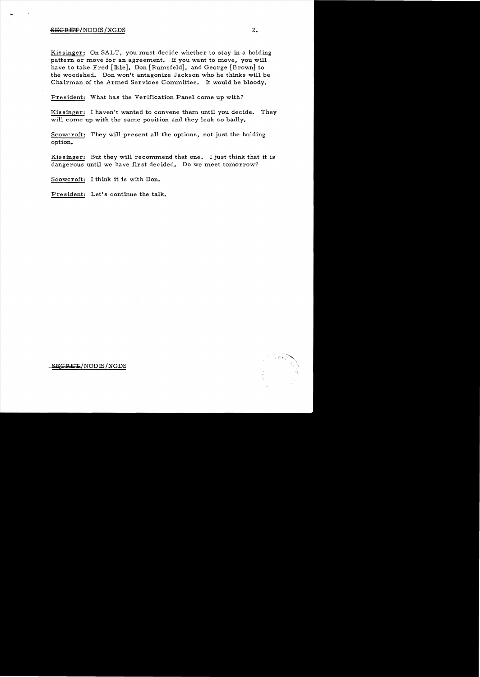## SEGRET/NODIS/XGDS 2.

Kissinger: On SALT, you must decide whether to stay in a holding pattern or move for an agreement. If you want to move, you will have to take Fred [Ikle], Don [Rumsfeld], and George [Brown] to the woodshed. Don won't antagonize Jackson who he thinks will be Chairman of the Armed Services Committee. It would be bloody.

President: What has the Verification Panel come up with?

Kissinger: I haven't wanted to convene them until you decide. They will come up with the same position and they leak so badly.

Scowcroft: They will present all the options, not just the holding option.

Kissinger: But they will recommend that one. I just think that it is dangerous until we have first decided. Do we meet tomorrow?

Scowcroft: I think it is with Don.

President: Let's continue the talk.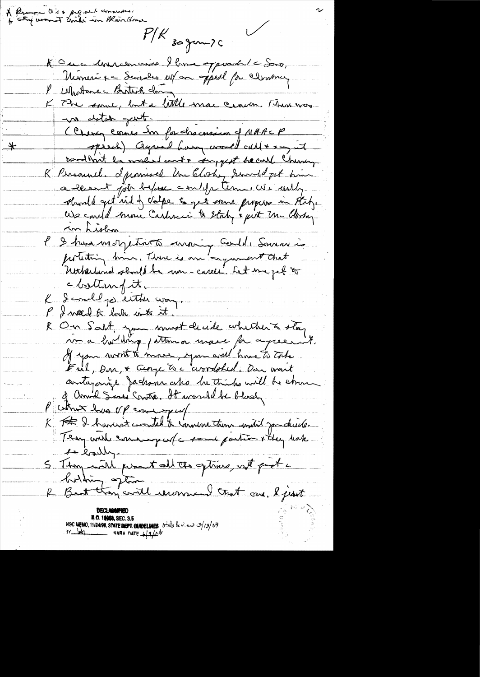A Remove Ois & proposed comments!  $P/R$  30 gm 20 Koue Mircenaine Home apparent le Sois, Nimerix = Services estan appell for clemency 1 Mostanec Birthick china K Che some, but a little mac crack. Than was no detate part. Clung cours En forchacusium of NAACP speech) agreed have world cult = - , it 字 condition to maked out + support he call Chunny R. Prisound. I provised the Clock, Sundayst him a known for before and y term. We worthy should get rid of valge to get some propers in theby. Use could more Cashner's & Staty & pirt Un Closky in Lislan l 2 hours motjetuits moins coulde Somme portiting him. There is an agreement that c bottom fit. K I conclud por entities way. P. I weed to look into it. & On Salt, you must decide whether & stay vo a holdrig patterna usace for a peer it. If your mont to move, you will have to take Ful, Don, & George To a avondohed. Dan overit antagonize Jackson who he thinks will be stron of annual Sines Consta, It was all be bloody. P chur has of emigraf K F De havent constel te landere tous andré jou chaîte. 1 lally S Thoy with prentall the getimes, with proof a bodding often R Bart though could recommend that saw. I just **E.O. 12000, SEC. 3.5**<br>NSC MEMO, 11/2498, STATE DEPT. GUIDELINES state be view 3/13/04<br>NARA DATE 6/2/04